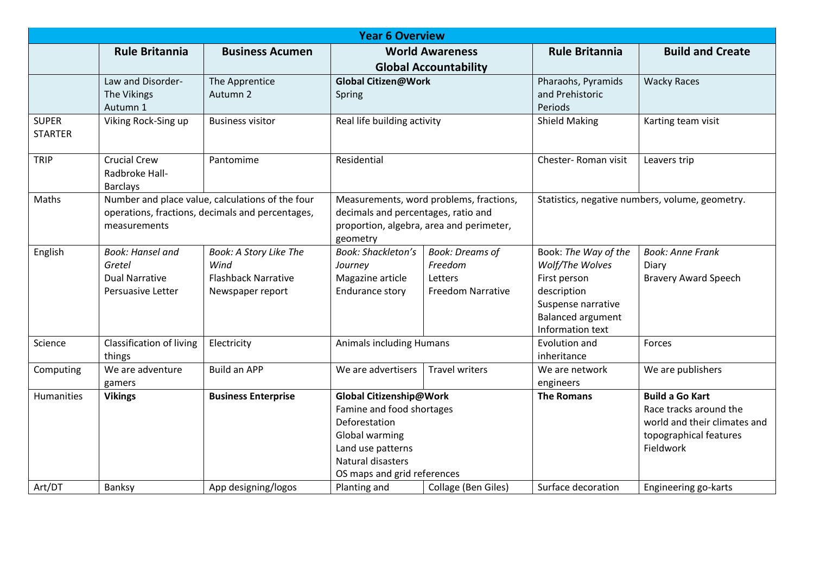| <b>Year 6 Overview</b>         |                                                                                                                      |                                                                                  |                                                                                                                                                                  |                                                                          |                                                                                                                                              |                                                                                                                         |  |  |  |  |  |
|--------------------------------|----------------------------------------------------------------------------------------------------------------------|----------------------------------------------------------------------------------|------------------------------------------------------------------------------------------------------------------------------------------------------------------|--------------------------------------------------------------------------|----------------------------------------------------------------------------------------------------------------------------------------------|-------------------------------------------------------------------------------------------------------------------------|--|--|--|--|--|
|                                | <b>Rule Britannia</b>                                                                                                | <b>Business Acumen</b>                                                           | <b>World Awareness</b><br><b>Global Accountability</b>                                                                                                           |                                                                          | <b>Rule Britannia</b>                                                                                                                        | <b>Build and Create</b>                                                                                                 |  |  |  |  |  |
|                                | Law and Disorder-<br>The Vikings<br>Autumn 1                                                                         | The Apprentice<br>Autumn 2                                                       | <b>Global Citizen@Work</b><br>Spring                                                                                                                             |                                                                          | Pharaohs, Pyramids<br>and Prehistoric<br>Periods                                                                                             | <b>Wacky Races</b>                                                                                                      |  |  |  |  |  |
| <b>SUPER</b><br><b>STARTER</b> | Viking Rock-Sing up                                                                                                  | <b>Business visitor</b>                                                          | Real life building activity                                                                                                                                      |                                                                          | <b>Shield Making</b>                                                                                                                         | Karting team visit                                                                                                      |  |  |  |  |  |
| <b>TRIP</b>                    | <b>Crucial Crew</b><br>Radbroke Hall-<br><b>Barclays</b>                                                             | Pantomime                                                                        | Residential                                                                                                                                                      |                                                                          | Chester-Roman visit                                                                                                                          | Leavers trip                                                                                                            |  |  |  |  |  |
| Maths                          | Number and place value, calculations of the four<br>operations, fractions, decimals and percentages,<br>measurements |                                                                                  | Measurements, word problems, fractions,<br>decimals and percentages, ratio and<br>proportion, algebra, area and perimeter,<br>geometry                           |                                                                          | Statistics, negative numbers, volume, geometry.                                                                                              |                                                                                                                         |  |  |  |  |  |
| English                        | <b>Book: Hansel and</b><br>Gretel<br><b>Dual Narrative</b><br>Persuasive Letter                                      | Book: A Story Like The<br>Wind<br><b>Flashback Narrative</b><br>Newspaper report | <b>Book: Shackleton's</b><br>Journey<br>Magazine article<br>Endurance story                                                                                      | <b>Book: Dreams of</b><br>Freedom<br>Letters<br><b>Freedom Narrative</b> | Book: The Way of the<br>Wolf/The Wolves<br>First person<br>description<br>Suspense narrative<br><b>Balanced argument</b><br>Information text | <b>Book: Anne Frank</b><br>Diary<br><b>Bravery Award Speech</b>                                                         |  |  |  |  |  |
| Science                        | <b>Classification of living</b><br>things                                                                            | Electricity                                                                      | <b>Animals including Humans</b>                                                                                                                                  |                                                                          | Evolution and<br>inheritance                                                                                                                 | Forces                                                                                                                  |  |  |  |  |  |
| Computing                      | We are adventure<br>gamers                                                                                           | <b>Build an APP</b>                                                              | We are advertisers                                                                                                                                               | <b>Travel writers</b>                                                    | We are network<br>engineers                                                                                                                  | We are publishers                                                                                                       |  |  |  |  |  |
| Humanities                     | <b>Vikings</b>                                                                                                       | <b>Business Enterprise</b>                                                       | Global Citizenship@Work<br>Famine and food shortages<br>Deforestation<br>Global warming<br>Land use patterns<br>Natural disasters<br>OS maps and grid references |                                                                          | <b>The Romans</b>                                                                                                                            | <b>Build a Go Kart</b><br>Race tracks around the<br>world and their climates and<br>topographical features<br>Fieldwork |  |  |  |  |  |
| Art/DT                         | Banksy                                                                                                               | App designing/logos                                                              | Planting and                                                                                                                                                     | Collage (Ben Giles)                                                      | Surface decoration                                                                                                                           | Engineering go-karts                                                                                                    |  |  |  |  |  |